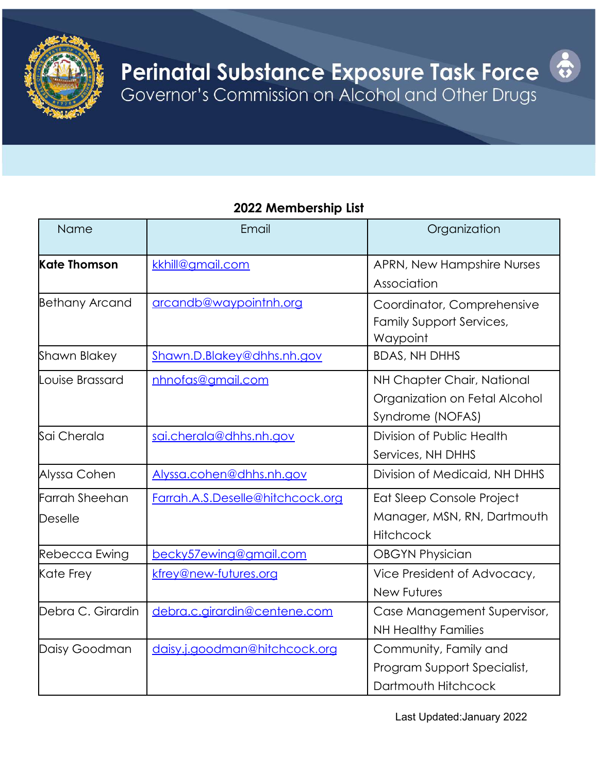

#### **2022 Membership List**

| Name                  | Email                            | Organization                    |
|-----------------------|----------------------------------|---------------------------------|
| <b>Kate Thomson</b>   | kkhill@amail.com                 | APRN, New Hampshire Nurses      |
|                       |                                  | Association                     |
| <b>Bethany Arcand</b> | arcandb@waypointnh.org           | Coordinator, Comprehensive      |
|                       |                                  | <b>Family Support Services,</b> |
|                       |                                  | Waypoint                        |
| Shawn Blakey          | Shawn.D.Blakey@dhhs.nh.gov       | <b>BDAS, NH DHHS</b>            |
| Louise Brassard       | nhnofas@gmail.com                | NH Chapter Chair, National      |
|                       |                                  | Organization on Fetal Alcohol   |
|                       |                                  | Syndrome (NOFAS)                |
| Sai Cherala           | sai.cherala@dhhs.nh.gov          | Division of Public Health       |
|                       |                                  | Services, NH DHHS               |
| Alyssa Cohen          | Alyssa.cohen@dhhs.nh.gov         | Division of Medicaid, NH DHHS   |
| Farrah Sheehan        | Farrah.A.S.Deselle@hitchcock.org | Eat Sleep Console Project       |
| Deselle               |                                  | Manager, MSN, RN, Dartmouth     |
|                       |                                  | <b>Hitchcock</b>                |
| Rebecca Ewing         | becky57ewing@gmail.com           | <b>OBGYN Physician</b>          |
| Kate Frey             | kfrey@new-futures.org            | Vice President of Advocacy,     |
|                       |                                  | <b>New Futures</b>              |
| Debra C. Girardin     | debra.c.girardin@centene.com     | Case Management Supervisor,     |
|                       |                                  | <b>NH Healthy Families</b>      |
| Daisy Goodman         | daisy.j.goodman@hitchcock.org    | Community, Family and           |
|                       |                                  | Program Support Specialist,     |
|                       |                                  | Dartmouth Hitchcock             |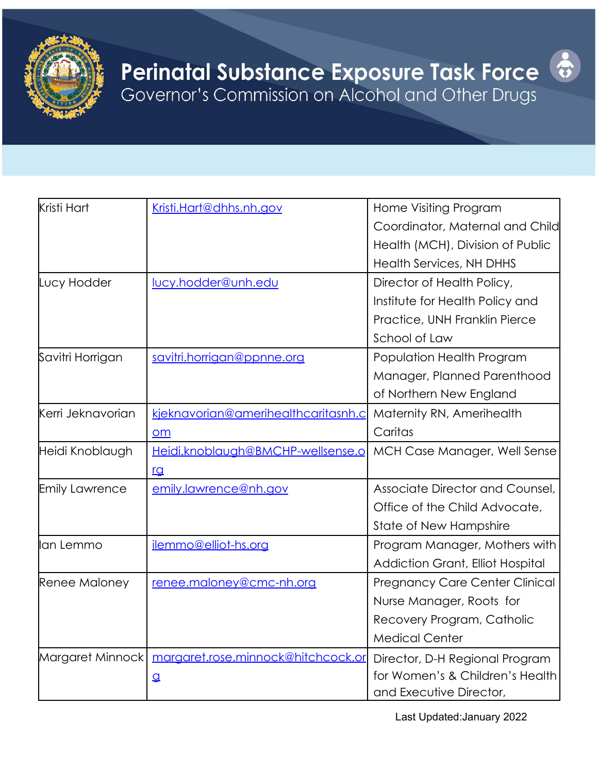

## **Perinatal Substance Exposure Task Force** Governor's Commission on Alcohol and Other Drugs



Last Updated:January 2022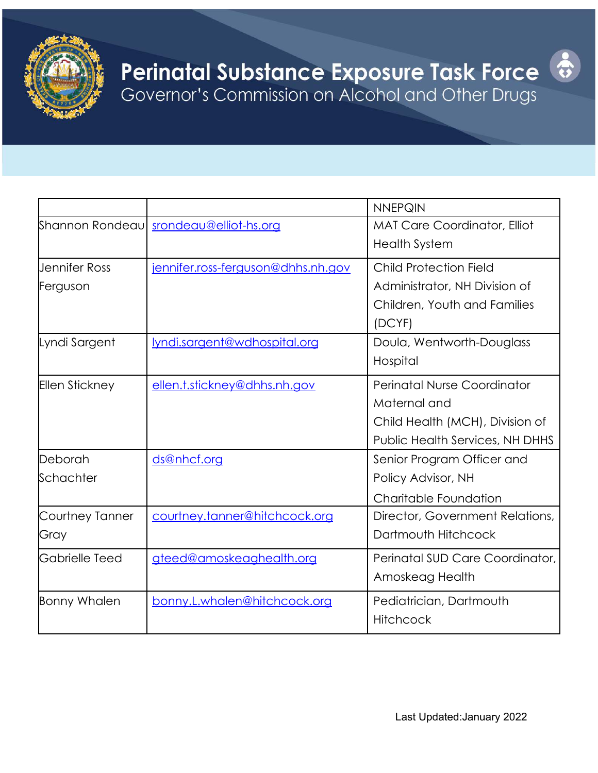

## **Perinatal Substance Exposure Task Force** Governor's Commission on Alcohol and Other Drugs